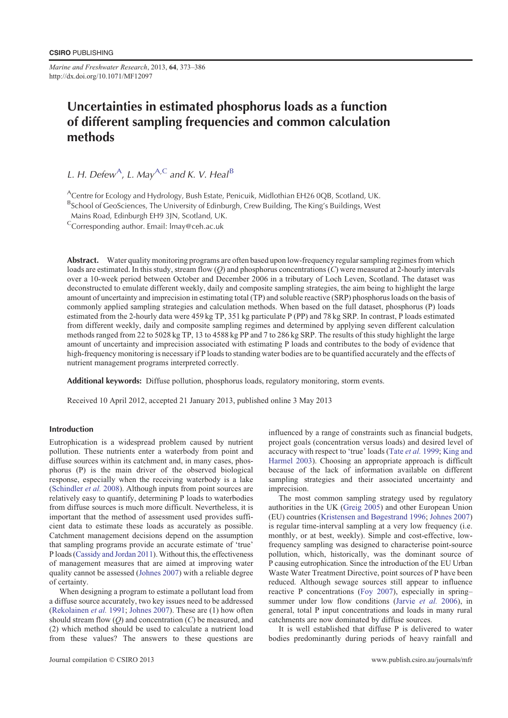*Marine and Freshwater Research*, 2013, **64**, 373–386 http://dx.doi.org/10.1071/MF12097

# Uncertainties in estimated phosphorus loads as a function of different sampling frequencies and common calculation methods

L. H. Defew<sup>A</sup>, L. May<sup>A,C</sup> and K. V. Heal<sup>B</sup>

<sup>A</sup>Centre for Ecology and Hydrology, Bush Estate, Penicuik, Midlothian EH26 0QB, Scotland, UK.

BSchool of GeoSciences, The University of Edinburgh, Crew Building, The King's Buildings, West

Mains Road, Edinburgh EH9 3JN, Scotland, UK.

 $C$ Corresponding author. Email: Imay@ceh.ac.uk

Abstract. Water quality monitoring programs are often based upon low-frequency regular sampling regimes from which loads are estimated. In this study, stream flow (*Q*) and phosphorus concentrations (*C*) were measured at 2-hourly intervals over a 10-week period between October and December 2006 in a tributary of Loch Leven, Scotland. The dataset was deconstructed to emulate different weekly, daily and composite sampling strategies, the aim being to highlight the large amount of uncertainty and imprecision in estimating total (TP) and soluble reactive (SRP) phosphorus loads on the basis of commonly applied sampling strategies and calculation methods. When based on the full dataset, phosphorus (P) loads estimated from the 2-hourly data were 459 kg TP, 351 kg particulate P (PP) and 78 kg SRP. In contrast, P loads estimated from different weekly, daily and composite sampling regimes and determined by applying seven different calculation methods ranged from 22 to 5028 kg TP, 13 to 4588 kg PP and 7 to 286 kg SRP. The results of this study highlight the large amount of uncertainty and imprecision associated with estimating P loads and contributes to the body of evidence that high-frequency monitoring is necessary if P loads to standing water bodies are to be quantified accurately and the effects of nutrient management programs interpreted correctly.

Additional keywords: Diffuse pollution, phosphorus loads, regulatory monitoring, storm events.

Received 10 April 2012, accepted 21 January 2013, published online 3 May 2013

# Introduction

Eutrophication is a widespread problem caused by nutrient pollution. These nutrients enter a waterbody from point and diffuse sources within its catchment and, in many cases, phosphorus (P) is the main driver of the observed biological response, especially when the receiving waterbody is a lake ([Schindler](#page-13-0) *et al.* 2008). Although inputs from point sources are relatively easy to quantify, determining P loads to waterbodies from diffuse sources is much more difficult. Nevertheless, it is important that the method of assessment used provides sufficient data to estimate these loads as accurately as possible. Catchment management decisions depend on the assumption that sampling programs provide an accurate estimate of 'true' P loads ([Cassidy and Jordan 2011](#page-12-0)). Without this, the effectiveness of management measures that are aimed at improving water quality cannot be assessed ([Johnes 2007\)](#page-12-0) with a reliable degree of certainty.

When designing a program to estimate a pollutant load from a diffuse source accurately, two key issues need to be addressed ([Rekolainen](#page-13-0) *et al.* 1991; [Johnes 2007\)](#page-12-0). These are (1) how often should stream flow (*Q*) and concentration (*C*) be measured, and (2) which method should be used to calculate a nutrient load from these values? The answers to these questions are influenced by a range of constraints such as financial budgets, project goals (concentration versus loads) and desired level of accuracy with respect to 'true' loads (Tate *et al.* [1999;](#page-13-0) [King and](#page-12-0) [Harmel 2003\)](#page-12-0). Choosing an appropriate approach is difficult because of the lack of information available on different sampling strategies and their associated uncertainty and imprecision.

The most common sampling strategy used by regulatory authorities in the UK [\(Greig 2005\)](#page-12-0) and other European Union (EU) countries [\(Kristensen and Bøgestrand 1996](#page-12-0); [Johnes 2007\)](#page-12-0) is regular time-interval sampling at a very low frequency (i.e. monthly, or at best, weekly). Simple and cost-effective, lowfrequency sampling was designed to characterise point-source pollution, which, historically, was the dominant source of P causing eutrophication. Since the introduction of the EU Urban Waste Water Treatment Directive, point sources of P have been reduced. Although sewage sources still appear to influence reactive P concentrations ([Foy 2007\)](#page-12-0), especially in spring– summer under low flow conditions [\(Jarvie](#page-12-0) *et al.* 2006), in general, total P input concentrations and loads in many rural catchments are now dominated by diffuse sources.

It is well established that diffuse P is delivered to water bodies predominantly during periods of heavy rainfall and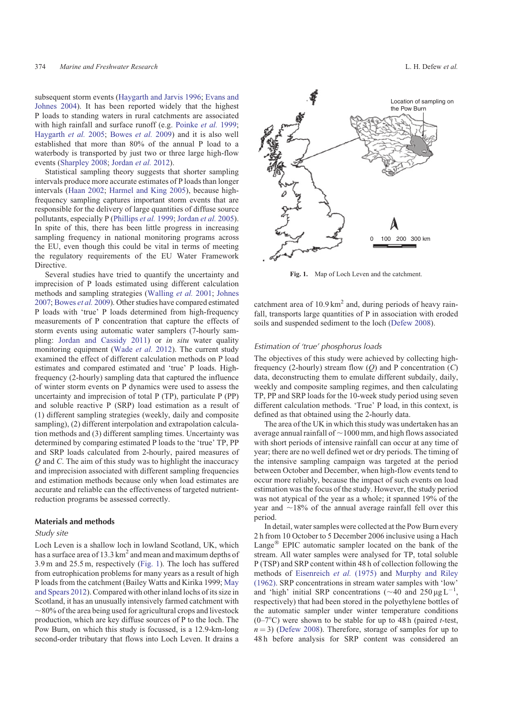subsequent storm events ([Haygarth and Jarvis 1996;](#page-12-0) [Evans and](#page-12-0) [Johnes 2004](#page-12-0)). It has been reported widely that the highest P loads to standing waters in rural catchments are associated with high rainfall and surface runoff (e.g. [Poinke](#page-13-0) *et al.* 1999; [Haygarth](#page-12-0) *et al.* 2005; [Bowes](#page-12-0) *et al.* 2009) and it is also well established that more than 80% of the annual P load to a waterbody is transported by just two or three large high-flow events ([Sharpley 2008;](#page-13-0) [Jordan](#page-12-0) *et al.* 2012).

Statistical sampling theory suggests that shorter sampling intervals produce more accurate estimates of P loads than longer intervals ([Haan 2002](#page-12-0); [Harmel and King 2005\)](#page-12-0), because highfrequency sampling captures important storm events that are responsible for the delivery of large quantities of diffuse source pollutants, especially P ([Phillips](#page-12-0) *et al.* 1999; [Jordan](#page-12-0) *et al.* 2005). In spite of this, there has been little progress in increasing sampling frequency in national monitoring programs across the EU, even though this could be vital in terms of meeting the regulatory requirements of the EU Water Framework Directive.

Several studies have tried to quantify the uncertainty and imprecision of P loads estimated using different calculation methods and sampling strategies ([Walling](#page-13-0) *et al.* 2001; [Johnes](#page-12-0) [2007](#page-12-0); [Bowes](#page-12-0) *et al.* 2009). Other studies have compared estimated P loads with 'true' P loads determined from high-frequency measurements of P concentration that capture the effects of storm events using automatic water samplers (7-hourly sampling: [Jordan and Cassidy 2011\)](#page-12-0) or *in situ* water quality monitoring equipment [\(Wade](#page-13-0) *et al.* 2012). The current study examined the effect of different calculation methods on P load estimates and compared estimated and 'true' P loads. Highfrequency (2-hourly) sampling data that captured the influence of winter storm events on P dynamics were used to assess the uncertainty and imprecision of total P (TP), particulate P (PP) and soluble reactive P (SRP) load estimation as a result of (1) different sampling strategies (weekly, daily and composite sampling), (2) different interpolation and extrapolation calculation methods and (3) different sampling times. Uncertainty was determined by comparing estimated P loads to the 'true' TP, PP and SRP loads calculated from 2-hourly, paired measures of *Q* and *C*. The aim of this study was to highlight the inaccuracy and imprecision associated with different sampling frequencies and estimation methods because only when load estimates are accurate and reliable can the effectiveness of targeted nutrientreduction programs be assessed correctly.

## Materials and methods

#### Study site

Loch Leven is a shallow loch in lowland Scotland, UK, which has a surface area of 13.3  $\text{km}^2$  and mean and maximum depths of 3.9 m and 25.5 m, respectively (Fig. 1). The loch has suffered from eutrophication problems for many years as a result of high P loads from the catchment (Bailey Watts and Kirika 1999; [May](#page-12-0) [and Spears 2012\)](#page-12-0). Compared with other inland lochs of its size in Scotland, it has an unusually intensively farmed catchment with  $\sim80\%$  of the area being used for agricultural crops and livestock production, which are key diffuse sources of P to the loch. The Pow Burn, on which this study is focussed, is a 12.9-km-long second-order tributary that flows into Loch Leven. It drains a Location of sampling on the Pow Burn



**Fig. 1.** Map of Loch Leven and the catchment.

catchment area of  $10.9 \text{ km}^2$  and, during periods of heavy rainfall, transports large quantities of P in association with eroded soils and suspended sediment to the loch [\(Defew 2008\)](#page-12-0).

#### Estimation of 'true' phosphorus loads

The objectives of this study were achieved by collecting highfrequency (2-hourly) stream flow (*Q*) and P concentration (*C*) data, deconstructing them to emulate different subdaily, daily, weekly and composite sampling regimes, and then calculating TP, PP and SRP loads for the 10-week study period using seven different calculation methods. 'True' P load, in this context, is defined as that obtained using the 2-hourly data.

The area of the UK in which this study was undertaken has an average annual rainfall of  $\sim$ 1000 mm, and high flows associated with short periods of intensive rainfall can occur at any time of year; there are no well defined wet or dry periods. The timing of the intensive sampling campaign was targeted at the period between October and December, when high-flow events tend to occur more reliably, because the impact of such events on load estimation was the focus of the study. However, the study period was not atypical of the year as a whole; it spanned 19% of the year and  $\sim$ 18% of the annual average rainfall fell over this period.

In detail, water samples were collected at the Pow Burn every 2 h from 10 October to 5 December 2006 inclusive using a Hach Lange<sup>®</sup> EPIC automatic sampler located on the bank of the stream. All water samples were analysed for TP, total soluble P (TSP) and SRP content within 48 h of collection following the methods of [Eisenreich](#page-12-0) *et al.* (1975) and [Murphy and Riley](#page-12-0) [\(1962\)](#page-12-0). SRP concentrations in stream water samples with 'low' and 'high' initial SRP concentrations ( $\sim$  40 and 250 µg L<sup>-1</sup>, respectively) that had been stored in the polyethylene bottles of the automatic sampler under winter temperature conditions  $(0-7^{\circ}C)$  were shown to be stable for up to 48 h (paired *t*-test,  $n = 3$ ) [\(Defew 2008\)](#page-12-0). Therefore, storage of samples for up to 48 h before analysis for SRP content was considered an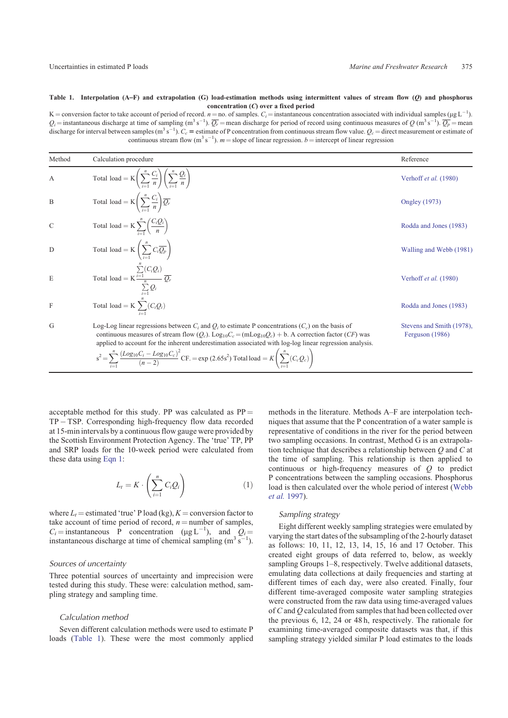#### **Table 1. Interpolation (A**]**F) and extrapolation (G) load-estimation methods using intermittent values of stream flow (Q) and phosphorus concentration (C) over a fixed period**

K = conversion factor to take account of period of record.  $n =$  no. of samples.  $C_i$  = instantaneous concentration associated with individual samples ( $\mu$ g L<sup>-1</sup>).  $Q_i$  = instantaneous discharge at time of sampling (m<sup>3</sup> s<sup>-1</sup>).  $\overline{Q_r}$  = mean discharge for period of record using continuous measures of  $Q$  (m<sup>3</sup> s<sup>-1</sup>).  $\overline{Q_p}$  = mean discharge for interval between samples (m<sup>3</sup> s<sup>-1</sup>).  $C_c$  = estimate of P concentration from continuous stream flow value.  $Q_c$  = direct measurement or estimate of continuous stream flow  $(m^3 s^{-1})$ .  $m =$  slope of linear regression.  $b =$  intercept of linear regression

| Method        | Calculation procedure                                                                                                                                                                                                                                                                                                                                                                                                                                                                                                                 | Reference                                    |
|---------------|---------------------------------------------------------------------------------------------------------------------------------------------------------------------------------------------------------------------------------------------------------------------------------------------------------------------------------------------------------------------------------------------------------------------------------------------------------------------------------------------------------------------------------------|----------------------------------------------|
| $\mathbf{A}$  | Total load = $K\left(\sum_{i=1}^{n}\frac{C_i}{n}\right)\left(\sum_{i=1}^{n}\frac{Q_i}{n}\right)$                                                                                                                                                                                                                                                                                                                                                                                                                                      | Verhoff et al. (1980)                        |
| B             | Total load = $K\left(\sum_{i=1}^n \frac{C_i}{n}\right) \overline{Q_r}$                                                                                                                                                                                                                                                                                                                                                                                                                                                                | <b>Ongley</b> (1973)                         |
| $\mathcal{C}$ | Total load = $K \sum_{i=1}^{n} \left( \frac{C_i Q_i}{n} \right)$                                                                                                                                                                                                                                                                                                                                                                                                                                                                      | Rodda and Jones (1983)                       |
| D             | Total load = $K\left(\sum_{i=1}^n C_i \overline{Q_p}\right)$                                                                                                                                                                                                                                                                                                                                                                                                                                                                          | Walling and Webb (1981)                      |
| E             | Total load = $K \frac{\sum_{i=1}^{n} (C_i Q_i)}{n} \overline{Q_r}$<br>$\sum_{i=1}^n Q_i$                                                                                                                                                                                                                                                                                                                                                                                                                                              | Verhoff et al. (1980)                        |
| F             | Total load = K $\sum_{i}^{n} (C_i Q_i)$                                                                                                                                                                                                                                                                                                                                                                                                                                                                                               | Rodda and Jones (1983)                       |
| G             | Log-Log linear regressions between $C_i$ and $Q_i$ to estimate P concentrations ( $C_c$ ) on the basis of<br>continuous measures of stream flow $(Q_c)$ . Log <sub>10</sub> $C_c = (\text{mLog}_{10}Q_c) + b$ . A correction factor ( <i>CF</i> ) was<br>applied to account for the inherent underestimation associated with log-log linear regression analysis.<br>$s^{2} = \sum_{i=1}^{n} \frac{(Log_{10}C_{i} - Log_{10}C_{c})^{2}}{(n-2)} CF = \exp(2.65s^{2}) \text{ Total load} = K \left( \sum_{i=1}^{n} (C_{c}Q_{c}) \right)$ | Stevens and Smith (1978),<br>Ferguson (1986) |

acceptable method for this study. PP was calculated as  $PP =$  $TP - TSP$ . Corresponding high-frequency flow data recorded at 15-min intervals by a continuous flow gauge were provided by the Scottish Environment Protection Agency. The 'true' TP, PP and SRP loads for the 10-week period were calculated from these data using Eqn 1:

$$
L_t = K \cdot \left(\sum_{i=1}^n C_i Q_i\right) \tag{1}
$$

where  $L_t$  = estimated 'true' P load (kg),  $K$  = conversion factor to take account of time period of record,  $n =$  number of samples,  $C_i$  = instantaneous **P** concentration ( $\mu g L^{-1}$ ), and  $Q_i =$ instantaneous discharge at time of chemical sampling  $(m^3 s^{-1})$ ).

## Sources of uncertainty

Three potential sources of uncertainty and imprecision were tested during this study. These were: calculation method, sampling strategy and sampling time.

#### Calculation method

Seven different calculation methods were used to estimate P loads (Table 1). These were the most commonly applied methods in the literature. Methods A–F are interpolation techniques that assume that the P concentration of a water sample is representative of conditions in the river for the period between two sampling occasions. In contrast, Method G is an extrapolation technique that describes a relationship between *Q* and *C* at the time of sampling. This relationship is then applied to continuous or high-frequency measures of *Q* to predict P concentrations between the sampling occasions. Phosphorus load is then calculated over the whole period of interest [\(Webb](#page-13-0) *[et al.](#page-13-0)* 1997).

#### Sampling strategy

Eight different weekly sampling strategies were emulated by varying the start dates of the subsampling of the 2-hourly dataset as follows: 10, 11, 12, 13, 14, 15, 16 and 17 October. This created eight groups of data referred to, below, as weekly sampling Groups 1–8, respectively. Twelve additional datasets, emulating data collections at daily frequencies and starting at different times of each day, were also created. Finally, four different time-averaged composite water sampling strategies were constructed from the raw data using time-averaged values of *C* and *Q* calculated from samples that had been collected over the previous 6, 12, 24 or 48 h, respectively. The rationale for examining time-averaged composite datasets was that, if this sampling strategy yielded similar P load estimates to the loads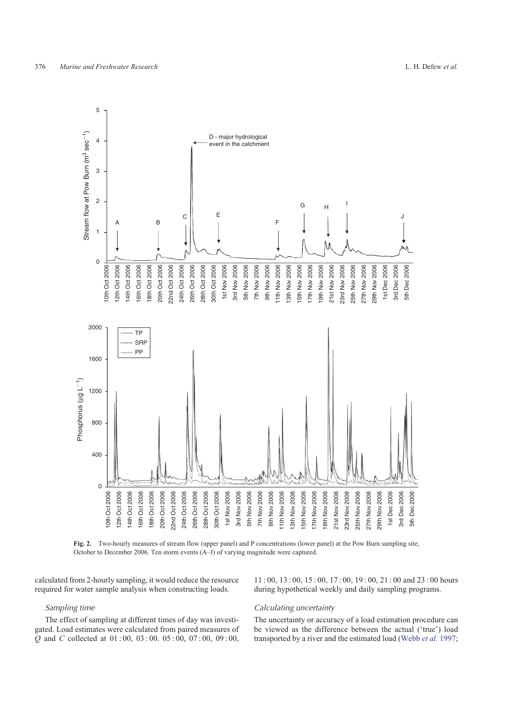<span id="page-3-0"></span>

**Fig. 2.** Two-hourly measures of stream flow (upper panel) and P concentrations (lower panel) at the Pow Burn sampling site, October to December 2006. Ten storm events (A–J) of varying magnitude were captured.

calculated from 2-hourly sampling, it would reduce the resource required for water sample analysis when constructing loads.

## Sampling time

The effect of sampling at different times of day was investigated. Load estimates were calculated from paired measures of *Q* and *C* collected at 01 : 00, 03 : 00. 05 : 00, 07 : 00, 09 : 00,

11 : 00, 13 : 00, 15 : 00, 17 : 00, 19 : 00, 21 : 00 and 23 : 00 hours during hypothetical weekly and daily sampling programs.

## Calculating uncertainty

The uncertainty or accuracy of a load estimation procedure can be viewed as the difference between the actual ('true') load transported by a river and the estimated load ([Webb](#page-13-0) *et al.* 1997;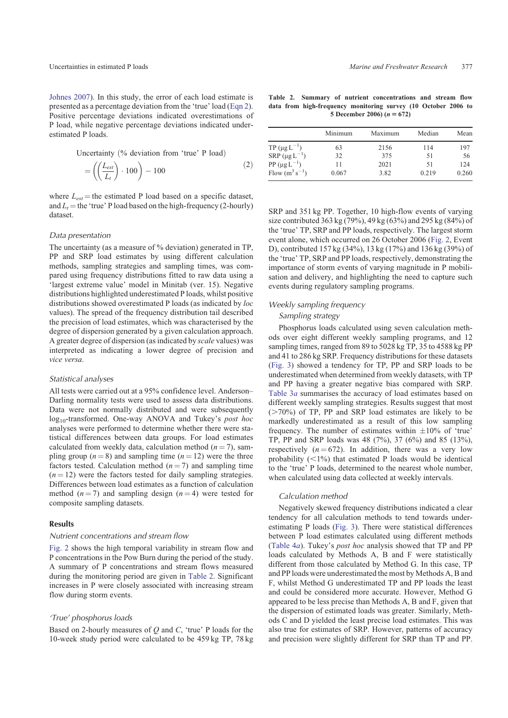[Johnes 2007\)](#page-12-0). In this study, the error of each load estimate is presented as a percentage deviation from the 'true' load (Eqn 2). Positive percentage deviations indicated overestimations of P load, while negative percentage deviations indicated underestimated P loads.

Uncertainty  $\left(\%$  deviation from 'true' P load)

$$
= \left( \left( \frac{L_{est}}{L_t} \right) \cdot 100 \right) - 100 \tag{2}
$$

where  $L_{est}$  = the estimated P load based on a specific dataset, and  $L_t$  = the 'true' P load based on the high-frequency (2-hourly) dataset.

#### Data presentation

The uncertainty (as a measure of % deviation) generated in TP, PP and SRP load estimates by using different calculation methods, sampling strategies and sampling times, was compared using frequency distributions fitted to raw data using a 'largest extreme value' model in Minitab (ver. 15). Negative distributions highlighted underestimated P loads, whilst positive distributions showed overestimated P loads (as indicated by *loc* values). The spread of the frequency distribution tail described the precision of load estimates, which was characterised by the degree of dispersion generated by a given calculation approach. A greater degree of dispersion (as indicated by *scale* values) was interpreted as indicating a lower degree of precision and *vice versa*.

### Statistical analyses

All tests were carried out at a 95% confidence level. Anderson– Darling normality tests were used to assess data distributions. Data were not normally distributed and were subsequently log10-transformed. One-way ANOVA and Tukey's *post hoc* analyses were performed to determine whether there were statistical differences between data groups. For load estimates calculated from weekly data, calculation method  $(n = 7)$ , sampling group  $(n = 8)$  and sampling time  $(n = 12)$  were the three factors tested. Calculation method  $(n = 7)$  and sampling time  $(n = 12)$  were the factors tested for daily sampling strategies. Differences between load estimates as a function of calculation method  $(n=7)$  and sampling design  $(n=4)$  were tested for composite sampling datasets.

# **Results**

# Nutrient concentrations and stream flow

[Fig. 2](#page-3-0) shows the high temporal variability in stream flow and P concentrations in the Pow Burn during the period of the study. A summary of P concentrations and stream flows measured during the monitoring period are given in Table 2. Significant increases in P were closely associated with increasing stream flow during storm events.

#### 'True' phosphorus loads

Based on 2-hourly measures of *Q* and *C*, 'true' P loads for the 10-week study period were calculated to be 459 kg TP, 78 kg

**Table 2. Summary of nutrient concentrations and stream flow data from high-frequency monitoring survey (10 October 2006 to** 5 December 2006)  $(n = 672)$ 

|                                | Minimum | Maximum | Median | Mean  |
|--------------------------------|---------|---------|--------|-------|
| TP ( $\mu$ g L <sup>-1</sup> ) | 63      | 2156    | 114    | 197   |
| SRP $(\mu g L^{-1})$           | 32      | 375     | 51     | 56    |
| PP $(\mu g L^{-1})$            | 11      | 2021    | 51     | 124   |
| Flow $(m^3 s^{-1})$            | 0.067   | 3.82    | 0.219  | 0.260 |

SRP and 351 kg PP. Together, 10 high-flow events of varying size contributed 363 kg (79%), 49 kg (63%) and 295 kg (84%) of the 'true' TP, SRP and PP loads, respectively. The largest storm event alone, which occurred on 26 October 2006 ([Fig. 2](#page-3-0), Event D), contributed 157 kg (34%), 13 kg (17%) and 136 kg (39%) of the 'true' TP, SRP and PP loads, respectively, demonstrating the importance of storm events of varying magnitude in P mobilisation and delivery, and highlighting the need to capture such events during regulatory sampling programs.

# Weekly sampling frequency

#### Sampling strategy

Phosphorus loads calculated using seven calculation methods over eight different weekly sampling programs, and 12 sampling times, ranged from 89 to 5028 kg TP, 35 to 4588 kg PP and 41 to 286 kg SRP. Frequency distributions for these datasets ([Fig. 3](#page-5-0)) showed a tendency for TP, PP and SRP loads to be underestimated when determined from weekly datasets, with TP and PP having a greater negative bias compared with SRP. [Table 3](#page-6-0)*a* summarises the accuracy of load estimates based on different weekly sampling strategies. Results suggest that most  $(>=70\%)$  of TP, PP and SRP load estimates are likely to be markedly underestimated as a result of this low sampling frequency. The number of estimates within  $\pm 10\%$  of 'true' TP, PP and SRP loads was 48 (7%), 37 (6%) and 85 (13%), respectively  $(n = 672)$ . In addition, there was a very low probability  $(\leq 1\%)$  that estimated P loads would be identical to the 'true' P loads, determined to the nearest whole number, when calculated using data collected at weekly intervals.

## Calculation method

Negatively skewed frequency distributions indicated a clear tendency for all calculation methods to tend towards underestimating P loads ([Fig. 3](#page-5-0)). There were statistical differences between P load estimates calculated using different methods ([Table 4](#page-6-0)*a*). Tukey's *post hoc* analysis showed that TP and PP loads calculated by Methods A, B and F were statistically different from those calculated by Method G. In this case, TP and PP loads were underestimated the most by Methods A, B and F, whilst Method G underestimated TP and PP loads the least and could be considered more accurate. However, Method G appeared to be less precise than Methods A, B and F, given that the dispersion of estimated loads was greater. Similarly, Methods C and D yielded the least precise load estimates. This was also true for estimates of SRP. However, patterns of accuracy and precision were slightly different for SRP than TP and PP.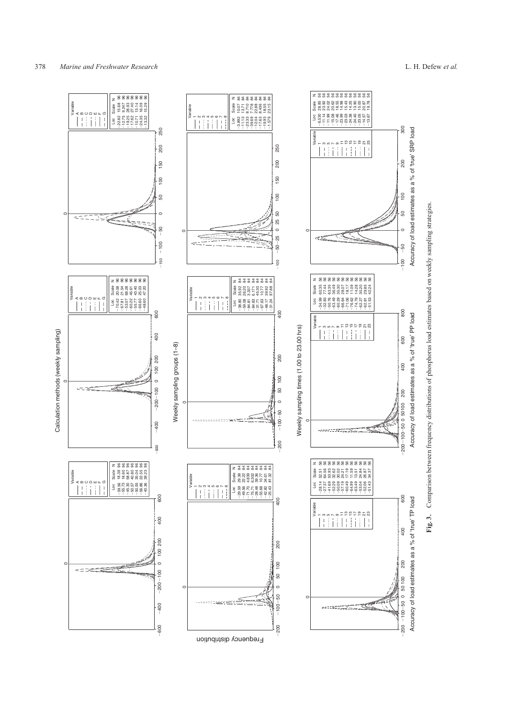<span id="page-5-0"></span>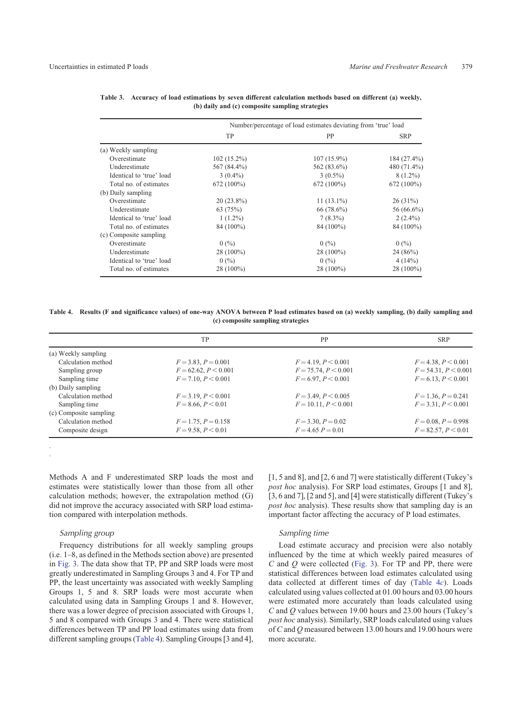|                          | Number/percentage of load estimates deviating from 'true' load |               |              |
|--------------------------|----------------------------------------------------------------|---------------|--------------|
|                          | <b>TP</b>                                                      | PP            | <b>SRP</b>   |
| (a) Weekly sampling      |                                                                |               |              |
| Overestimate             | $102(15.2\%)$                                                  | $107(15.9\%)$ | 184 (27.4%)  |
| Underestimate            | 567 (84.4%)                                                    | 562 (83.6%)   | 480 (71.4%)  |
| Identical to 'true' load | $3(0.4\%)$                                                     | $3(0.5\%)$    | 8 (1.2%)     |
| Total no. of estimates   | $672(100\%)$                                                   | $672(100\%)$  | $672(100\%)$ |
| (b) Daily sampling       |                                                                |               |              |
| Overestimate             | $20(23.8\%)$                                                   | $11(13.1\%)$  | $26(31\%)$   |
| Underestimate            | 63(75%)                                                        | $66(78.6\%)$  | 56 (66.6%)   |
| Identical to 'true' load | $1(1.2\%)$                                                     | $7(8.3\%)$    | $2(2.4\%)$   |
| Total no. of estimates   | 84 (100%)                                                      | 84 (100%)     | 84 (100%)    |
| (c) Composite sampling   |                                                                |               |              |
| Overestimate             | 0(%)                                                           | 0(%)          | 0(%)         |
| Underestimate            | 28 (100%)                                                      | 28 (100%)     | 24(86%)      |
| Identical to 'true' load | 0(%)                                                           | 0(%)          | 4(14%)       |
| Total no. of estimates   | 28 (100%)                                                      | 28 (100%)     | 28 (100%)    |

<span id="page-6-0"></span>

|                                                 | Table 3. Accuracy of load estimations by seven different calculation methods based on different (a) weekly, |  |  |  |  |
|-------------------------------------------------|-------------------------------------------------------------------------------------------------------------|--|--|--|--|
| (b) daily and (c) composite sampling strategies |                                                                                                             |  |  |  |  |

**Table 4. Results (F and significance values) of one-way ANOVA between P load estimates based on (a) weekly sampling, (b) daily sampling and (c) composite sampling strategies**

|                        | TP                      | PP                     | <b>SRP</b>               |
|------------------------|-------------------------|------------------------|--------------------------|
| (a) Weekly sampling    |                         |                        |                          |
| Calculation method     | $F = 3.83, P = 0.001$   | $F = 4.19, P < 0.001$  | $F = 4.38, P < 0.001$    |
| Sampling group         | $F = 62.62, P < 0.001$  | $F = 75.74, P < 0.001$ | $F = 54.31, P \le 0.001$ |
| Sampling time          | $F = 7.10, P \le 0.001$ | $F = 6.97, P < 0.001$  | $F = 6.13, P < 0.001$    |
| (b) Daily sampling     |                         |                        |                          |
| Calculation method     | $F = 3.19, P < 0.001$   | $F = 3.49, P < 0.005$  | $F = 1.36, P = 0.241$    |
| Sampling time          | $F = 8.66, P < 0.01$    | $F = 10.11, P < 0.001$ | $F = 3.31, P < 0.001$    |
| (c) Composite sampling |                         |                        |                          |
| Calculation method     | $F = 1.75, P = 0.158$   | $F = 3.30, P = 0.02$   | $F = 0.08, P = 0.998$    |
| Composite design       | $F = 9.58, P < 0.01$    | $F = 4.65 P = 0.01$    | $F = 82.57, P \le 0.01$  |
|                        |                         |                        |                          |

Methods A and F underestimated SRP loads the most and estimates were statistically lower than those from all other calculation methods; however, the extrapolation method (G) did not improve the accuracy associated with SRP load estimation compared with interpolation methods.

#### Sampling group

. .

Frequency distributions for all weekly sampling groups (i.e. 1–8, as defined in the Methods section above) are presented in [Fig. 3](#page-5-0). The data show that TP, PP and SRP loads were most greatly underestimated in Sampling Groups 3 and 4. For TP and PP, the least uncertainty was associated with weekly Sampling Groups 1, 5 and 8. SRP loads were most accurate when calculated using data in Sampling Groups 1 and 8. However, there was a lower degree of precision associated with Groups 1, 5 and 8 compared with Groups 3 and 4. There were statistical differences between TP and PP load estimates using data from different sampling groups (Table 4). Sampling Groups [3 and 4], [1, 5 and 8], and [2, 6 and 7] were statistically different (Tukey's *post hoc* analysis). For SRP load estimates, Groups [1 and 8], [3, 6 and 7], [2 and 5], and [4] were statistically different (Tukey's *post hoc* analysis). These results show that sampling day is an important factor affecting the accuracy of P load estimates.

#### Sampling time

Load estimate accuracy and precision were also notably influenced by the time at which weekly paired measures of *C* and *Q* were collected ([Fig. 3\)](#page-5-0). For TP and PP, there were statistical differences between load estimates calculated using data collected at different times of day (Table 4*c*). Loads calculated using values collected at 01.00 hours and 03.00 hours were estimated more accurately than loads calculated using *C* and *Q* values between 19.00 hours and 23.00 hours (Tukey's *post hoc* analysis). Similarly, SRP loads calculated using values of *C* and *Q* measured between 13.00 hours and 19.00 hours were more accurate.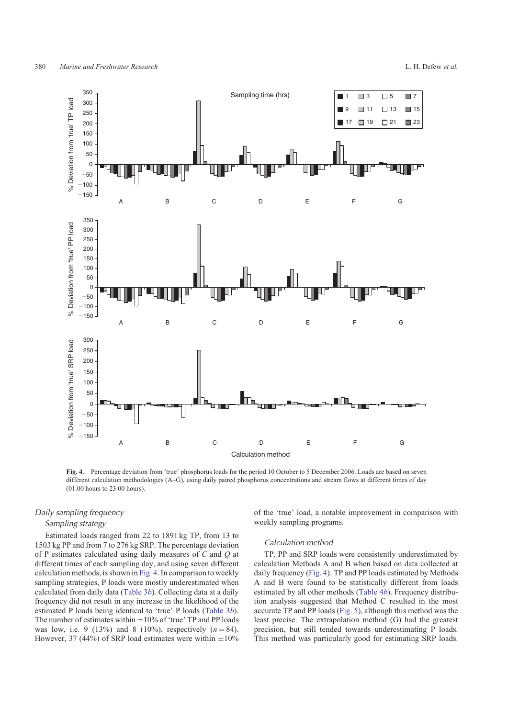<span id="page-7-0"></span>

**Fig. 4.** Percentage deviation from 'true' phosphorus loads for the period 10 October to 5 December 2006. Loads are based on seven different calculation methodologies (A–G), using daily paired phosphorus concentrations and stream flows at different times of day (01.00 hours to 23.00 hours).

## Daily sampling frequency

# Sampling strategy

Estimated loads ranged from 22 to 1891 kg TP, from 13 to 1503 kg PP and from 7 to 276 kg SRP. The percentage deviation of P estimates calculated using daily measures of *C* and *Q* at different times of each sampling day, and using seven different calculation methods, is shown in Fig. 4. In comparison to weekly sampling strategies, P loads were mostly underestimated when calculated from daily data ([Table 3](#page-6-0)*b*). Collecting data at a daily frequency did not result in any increase in the likelihood of the estimated P loads being identical to 'true' P loads [\(Table 3](#page-6-0)*b*). The number of estimates within  $\pm 10\%$  of 'true' TP and PP loads was low, i.e. 9 (13%) and 8 (10%), respectively  $(n = 84)$ . However, 37 (44%) of SRP load estimates were within  $\pm 10\%$ 

of the 'true' load, a notable improvement in comparison with weekly sampling programs.

#### Calculation method

TP, PP and SRP loads were consistently underestimated by calculation Methods A and B when based on data collected at daily frequency (Fig. 4). TP and PP loads estimated by Methods A and B were found to be statistically different from loads estimated by all other methods ([Table 4](#page-6-0)*b*). Frequency distribution analysis suggested that Method C resulted in the most accurate TP and PP loads [\(Fig. 5\)](#page-8-0), although this method was the least precise. The extrapolation method (G) had the greatest precision, but still tended towards underestimating P loads. This method was particularly good for estimating SRP loads.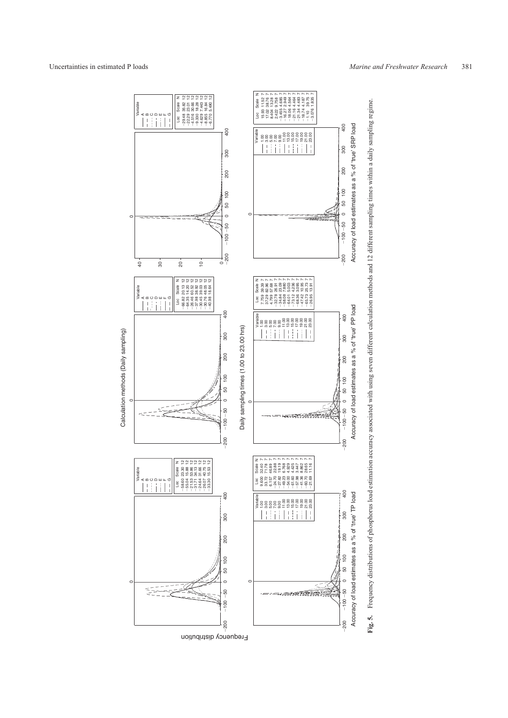<span id="page-8-0"></span>

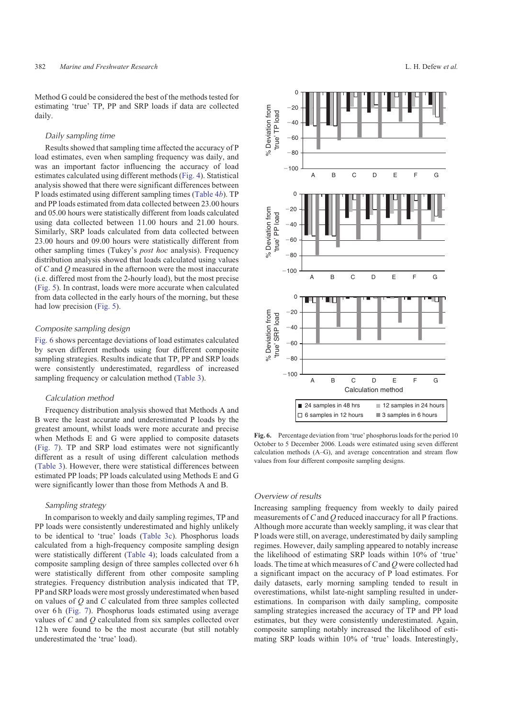Method G could be considered the best of the methods tested for estimating 'true' TP, PP and SRP loads if data are collected daily.

## Daily sampling time

Results showed that sampling time affected the accuracy of P load estimates, even when sampling frequency was daily, and was an important factor influencing the accuracy of load estimates calculated using different methods [\(Fig. 4\)](#page-7-0). Statistical analysis showed that there were significant differences between P loads estimated using different sampling times [\(Table 4](#page-6-0)*b*). TP and PP loads estimated from data collected between 23.00 hours and 05.00 hours were statistically different from loads calculated using data collected between 11.00 hours and 21.00 hours. Similarly, SRP loads calculated from data collected between 23.00 hours and 09.00 hours were statistically different from other sampling times (Tukey's *post hoc* analysis). Frequency distribution analysis showed that loads calculated using values of *C* and *Q* measured in the afternoon were the most inaccurate (i.e. differed most from the 2-hourly load), but the most precise ([Fig. 5](#page-8-0)). In contrast, loads were more accurate when calculated from data collected in the early hours of the morning, but these had low precision [\(Fig. 5](#page-8-0)).

# Composite sampling design

Fig. 6 shows percentage deviations of load estimates calculated by seven different methods using four different composite sampling strategies. Results indicate that TP, PP and SRP loads were consistently underestimated, regardless of increased sampling frequency or calculation method [\(Table 3](#page-6-0)).

# Calculation method

Frequency distribution analysis showed that Methods A and B were the least accurate and underestimated P loads by the greatest amount, whilst loads were more accurate and precise when Methods E and G were applied to composite datasets ([Fig. 7](#page-10-0)). TP and SRP load estimates were not significantly different as a result of using different calculation methods ([Table 3](#page-6-0)). However, there were statistical differences between estimated PP loads; PP loads calculated using Methods E and G were significantly lower than those from Methods A and B.

# Sampling strategy

In comparison to weekly and daily sampling regimes, TP and PP loads were consistently underestimated and highly unlikely to be identical to 'true' loads [\(Table 3c\)](#page-6-0). Phosphorus loads calculated from a high-frequency composite sampling design were statistically different ([Table 4\)](#page-6-0); loads calculated from a composite sampling design of three samples collected over 6 h were statistically different from other composite sampling strategies. Frequency distribution analysis indicated that TP, PP and SRP loads were most grossly underestimated when based on values of *Q* and *C* calculated from three samples collected over 6 h ([Fig. 7\)](#page-10-0). Phosphorus loads estimated using average values of *C* and *Q* calculated from six samples collected over 12 h were found to be the most accurate (but still notably underestimated the 'true' load).



**Fig. 6.** Percentage deviation from 'true' phosphorus loads for the period 10 October to 5 December 2006. Loads were estimated using seven different calculation methods (A–G), and average concentration and stream flow values from four different composite sampling designs.

# Overview of results

Increasing sampling frequency from weekly to daily paired measurements of *C* and *Q* reduced inaccuracy for all P fractions. Although more accurate than weekly sampling, it was clear that P loads were still, on average, underestimated by daily sampling regimes. However, daily sampling appeared to notably increase the likelihood of estimating SRP loads within 10% of 'true' loads. The time at which measures of*C*and *Q* were collected had a significant impact on the accuracy of P load estimates. For daily datasets, early morning sampling tended to result in overestimations, whilst late-night sampling resulted in underestimations. In comparison with daily sampling, composite sampling strategies increased the accuracy of TP and PP load estimates, but they were consistently underestimated. Again, composite sampling notably increased the likelihood of estimating SRP loads within 10% of 'true' loads. Interestingly,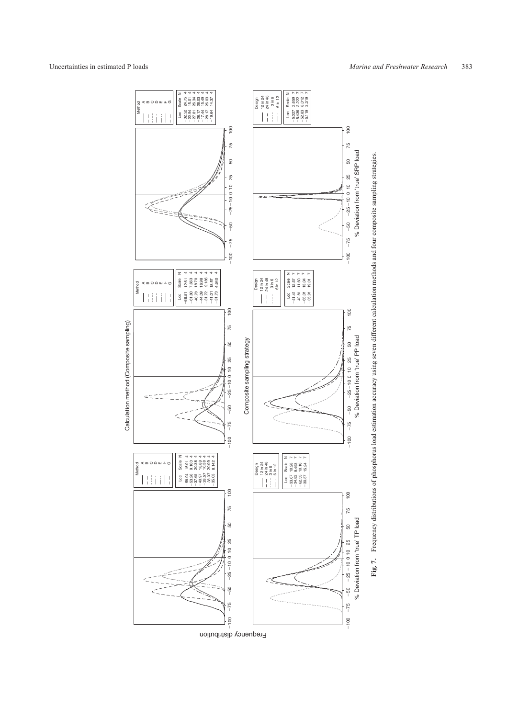

Frequency distribution

Frequency distributions of phosphorus load estimation accuracy using seven different calculation methods and four composite sampling strategies. **Fig. 7.** Frequency distributions of phosphorus load estimation accuracy using seven different calculation methods and four composite sampling strategies. Fig. 7.

<span id="page-10-0"></span>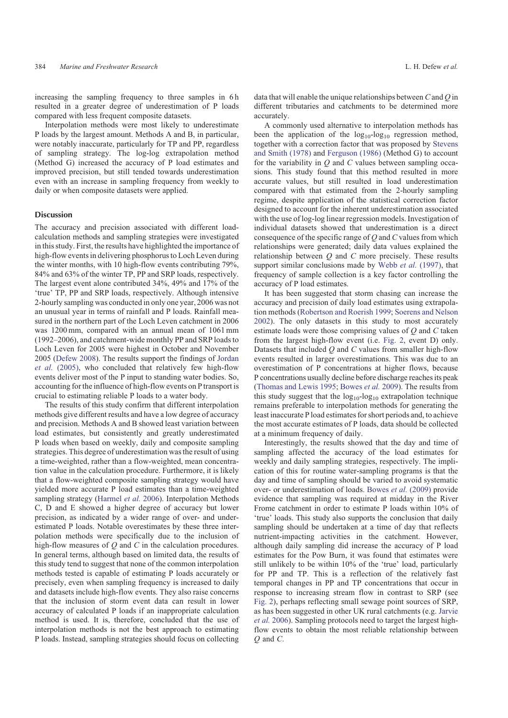increasing the sampling frequency to three samples in 6 h resulted in a greater degree of underestimation of P loads compared with less frequent composite datasets.

Interpolation methods were most likely to underestimate P loads by the largest amount. Methods A and B, in particular, were notably inaccurate, particularly for TP and PP, regardless of sampling strategy. The log-log extrapolation method (Method G) increased the accuracy of P load estimates and improved precision, but still tended towards underestimation even with an increase in sampling frequency from weekly to daily or when composite datasets were applied.

#### Discussion

The accuracy and precision associated with different loadcalculation methods and sampling strategies were investigated in this study. First, the results have highlighted the importance of high-flow events in delivering phosphorus to Loch Leven during the winter months, with 10 high-flow events contributing 79%, 84% and 63% of the winter TP, PP and SRP loads, respectively. The largest event alone contributed 34%, 49% and 17% of the 'true' TP, PP and SRP loads, respectively. Although intensive 2-hourly sampling was conducted in only one year, 2006 was not an unusual year in terms of rainfall and P loads. Rainfall measured in the northern part of the Loch Leven catchment in 2006 was 1200 mm, compared with an annual mean of 1061 mm (1992–2006), and catchment-wide monthly PP and SRP loads to Loch Leven for 2005 were highest in October and November 2005 ([Defew 2008](#page-12-0)). The results support the findings of [Jordan](#page-12-0) *et al.* [\(2005\)](#page-12-0), who concluded that relatively few high-flow events deliver most of the P input to standing water bodies. So, accounting for the influence of high-flow events on P transport is crucial to estimating reliable P loads to a water body.

The results of this study confirm that different interpolation methods give different results and have a low degree of accuracy and precision. Methods A and B showed least variation between load estimates, but consistently and greatly underestimated P loads when based on weekly, daily and composite sampling strategies. This degree of underestimation was the result of using a time-weighted, rather than a flow-weighted, mean concentration value in the calculation procedure. Furthermore, it is likely that a flow-weighted composite sampling strategy would have yielded more accurate P load estimates than a time-weighted sampling strategy [\(Harmel](#page-12-0) *et al.* 2006). Interpolation Methods C, D and E showed a higher degree of accuracy but lower precision, as indicated by a wider range of over- and underestimated P loads. Notable overestimates by these three interpolation methods were specifically due to the inclusion of high-flow measures of *Q* and *C* in the calculation procedures. In general terms, although based on limited data, the results of this study tend to suggest that none of the common interpolation methods tested is capable of estimating P loads accurately or precisely, even when sampling frequency is increased to daily and datasets include high-flow events. They also raise concerns that the inclusion of storm event data can result in lower accuracy of calculated P loads if an inappropriate calculation method is used. It is, therefore, concluded that the use of interpolation methods is not the best approach to estimating P loads. Instead, sampling strategies should focus on collecting

data that will enable the unique relationships between *C* and *Q* in different tributaries and catchments to be determined more accurately.

A commonly used alternative to interpolation methods has been the application of the  $log_{10}$ -log<sub>10</sub> regression method, together with a correction factor that was proposed by [Stevens](#page-13-0) [and Smith \(1978\)](#page-13-0) and [Ferguson \(1986\)](#page-12-0) (Method G) to account for the variability in *Q* and *C* values between sampling occasions. This study found that this method resulted in more accurate values, but still resulted in load underestimation compared with that estimated from the 2-hourly sampling regime, despite application of the statistical correction factor designed to account for the inherent underestimation associated with the use of log-log linear regression models. Investigation of individual datasets showed that underestimation is a direct consequence of the specific range of *Q* and *C* values from which relationships were generated; daily data values explained the relationship between *Q* and *C* more precisely. These results support similar conclusions made by Webb *et al.* [\(1997\)](#page-13-0), that frequency of sample collection is a key factor controlling the accuracy of P load estimates.

It has been suggested that storm chasing can increase the accuracy and precision of daily load estimates using extrapolation methods ([Robertson and Roerish 1999](#page-13-0); [Soerens and Nelson](#page-13-0) [2002\)](#page-13-0). The only datasets in this study to most accurately estimate loads were those comprising values of *Q* and *C* taken from the largest high-flow event (i.e. [Fig. 2](#page-3-0), event D) only. Datasets that included *Q* and *C* values from smaller high-flow events resulted in larger overestimations. This was due to an overestimation of P concentrations at higher flows, because P concentrations usually decline before discharge reaches its peak [\(Thomas and Lewis 1995](#page-13-0); [Bowes](#page-12-0) *et al.* 2009). The results from this study suggest that the  $log_{10}$ -log<sub>10</sub> extrapolation technique remains preferable to interpolation methods for generating the least inaccurate P load estimates for short periods and, to achieve the most accurate estimates of P loads, data should be collected at a minimum frequency of daily.

Interestingly, the results showed that the day and time of sampling affected the accuracy of the load estimates for weekly and daily sampling strategies, respectively. The implication of this for routine water-sampling programs is that the day and time of sampling should be varied to avoid systematic over- or underestimation of loads. [Bowes](#page-12-0) *et al.* (2009) provide evidence that sampling was required at midday in the River Frome catchment in order to estimate P loads within 10% of 'true' loads. This study also supports the conclusion that daily sampling should be undertaken at a time of day that reflects nutrient-impacting activities in the catchment. However, although daily sampling did increase the accuracy of P load estimates for the Pow Burn, it was found that estimates were still unlikely to be within 10% of the 'true' load, particularly for PP and TP. This is a reflection of the relatively fast temporal changes in PP and TP concentrations that occur in response to increasing stream flow in contrast to SRP (see [Fig. 2](#page-3-0)), perhaps reflecting small sewage point sources of SRP, as has been suggested in other UK rural catchments (e.g. [Jarvie](#page-12-0) *et al.* [2006\)](#page-12-0). Sampling protocols need to target the largest highflow events to obtain the most reliable relationship between *Q* and *C*.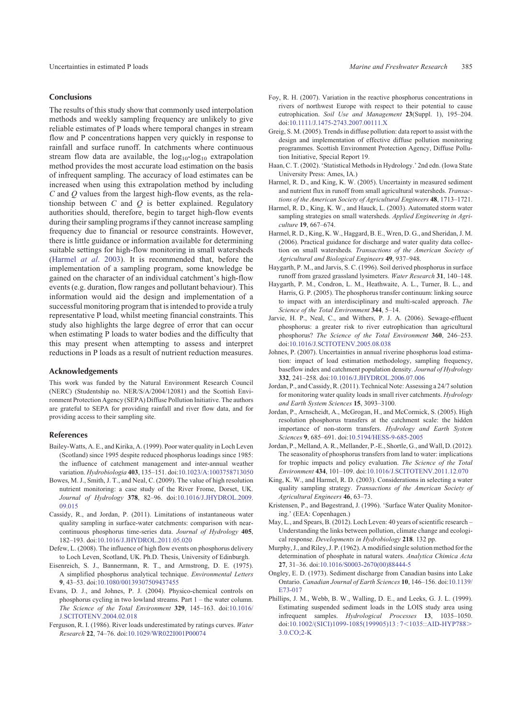# <span id="page-12-0"></span>**Conclusions**

The results of this study show that commonly used interpolation methods and weekly sampling frequency are unlikely to give reliable estimates of P loads where temporal changes in stream flow and P concentrations happen very quickly in response to rainfall and surface runoff. In catchments where continuous stream flow data are available, the  $log_{10}$ -log<sub>10</sub> extrapolation method provides the most accurate load estimation on the basis of infrequent sampling. The accuracy of load estimates can be increased when using this extrapolation method by including *C* and *Q* values from the largest high-flow events, as the relationship between *C* and *Q* is better explained. Regulatory authorities should, therefore, begin to target high-flow events during their sampling programs if they cannot increase sampling frequency due to financial or resource constraints. However, there is little guidance or information available for determining suitable settings for high-flow monitoring in small watersheds (Harmel *at al*. 2003). It is recommended that, before the implementation of a sampling program, some knowledge be gained on the character of an individual catchment's high-flow events (e.g. duration, flow ranges and pollutant behaviour). This information would aid the design and implementation of a successful monitoring program that is intended to provide a truly representative P load, whilst meeting financial constraints. This study also highlights the large degree of error that can occur when estimating P loads to water bodies and the difficulty that this may present when attempting to assess and interpret reductions in P loads as a result of nutrient reduction measures.

## Acknowledgements

This work was funded by the Natural Environment Research Council (NERC) (Studentship no. NER/S/A/2004/12081) and the Scottish Environment Protection Agency (SEPA) Diffuse Pollution Initiative. The authors are grateful to SEPA for providing rainfall and river flow data, and for providing access to their sampling site.

#### References

- Bailey-Watts, A. E., and Kirika, A. (1999). Poor water quality in Loch Leven (Scotland) since 1995 despite reduced phosphorus loadings since 1985: the influence of catchment management and inter-annual weather variation. *Hydrobiologia* **403**, 135–151. doi[:10.1023/A:1003758713050](http://dx.doi.org/10.1023/A:1003758713050)
- Bowes, M. J., Smith, J. T., and Neal, C. (2009). The value of high resolution nutrient monitoring: a case study of the River Frome, Dorset, UK. *Journal of Hydrology* **378**, 82–96. doi:[10.1016/J.JHYDROL.2009.](http://dx.doi.org/10.1016/J.JHYDROL.2009.09.015) [09.015](http://dx.doi.org/10.1016/J.JHYDROL.2009.09.015)
- Cassidy, R., and Jordan, P. (2011). Limitations of instantaneous water quality sampling in surface-water catchments: comparison with nearcontinuous phosphorus time-series data. *Journal of Hydrology* **405**, 182–193. doi[:10.1016/J.JHYDROL.2011.05.020](http://dx.doi.org/10.1016/J.JHYDROL.2011.05.020)
- Defew, L. (2008). The influence of high flow events on phosphorus delivery to Loch Leven, Scotland, UK. Ph.D. Thesis, University of Edinburgh.
- Eisenreich, S. J., Bannermann, R. T., and Armstrong, D. E. (1975). A simplified phosphorus analytical technique. *Environmental Letters* **9**, 43–53. doi[:10.1080/00139307509437455](http://dx.doi.org/10.1080/00139307509437455)
- Evans, D. J., and Johnes, P. J. (2004). Physico-chemical controls on phosphorus cycling in two lowland streams. Part 1 – the water column. *The Science of the Total Environment* **329**, 145–163. doi:[10.1016/](http://dx.doi.org/10.1016/J.SCITOTENV.2004.02.018) [J.SCITOTENV.2004.02.018](http://dx.doi.org/10.1016/J.SCITOTENV.2004.02.018)
- Ferguson, R. I. (1986). River loads underestimated by ratings curves. *Water Research* **22**, 74–76. doi:[10.1029/WR022I001P00074](http://dx.doi.org/10.1029/WR022I001P00074)
- Foy, R. H. (2007). Variation in the reactive phosphorus concentrations in rivers of northwest Europe with respect to their potential to cause eutrophication. *Soil Use and Management* **23**(Suppl. 1), 195–204. doi[:10.1111/J.1475-2743.2007.00111.X](http://dx.doi.org/10.1111/J.1475-2743.2007.00111.X)
- Greig, S. M. (2005). Trends in diffuse pollution: data report to assist with the design and implementation of effective diffuse pollution monitoring programmes. Scottish Environment Protection Agency, Diffuse Pollution Initiative, Special Report 19.
- Haan, C. T. (2002). 'Statistical Methods in Hydrology.' 2nd edn. (Iowa State University Press: Ames, IA.)
- Harmel, R. D., and King, K. W. (2005). Uncertainty in measured sediment and nutrient flux in runoff from small agricultural watersheds. *Transactions of the American Society of Agricultural Engineers* **48**, 1713–1721.
- Harmel, R. D., King, K. W., and Hauck, L. (2003). Automated storm water sampling strategies on small watersheds. *Applied Engineering in Agriculture* **19**, 667–674.
- Harmel, R. D., King, K. W., Haggard, B. E., Wren, D. G., and Sheridan, J. M. (2006). Practical guidance for discharge and water quality data collection on small watersheds. *Transactions of the American Society of Agricultural and Biological Engineers* **49**, 937–948.
- Haygarth, P. M., and Jarvis, S. C. (1996). Soil derived phosphorus in surface runoff from grazed grassland lysimeters. *Water Research* **31**, 140–148.
- Haygarth, P. M., Condron, L. M., Heathwaite, A. L., Turner, B. L., and Harris, G. P. (2005). The phosphorus transfer continuum: linking source to impact with an interdisciplinary and multi-scaled approach. *The Science of the Total Environment* **344**, 5–14.
- Jarvie, H. P., Neal, C., and Withers, P. J. A. (2006). Sewage-effluent phosphorus: a greater risk to river eutrophication than agricultural phosphorus? *The Science of the Total Environment* **360**, 246–253. doi[:10.1016/J.SCITOTENV.2005.08.038](http://dx.doi.org/10.1016/J.SCITOTENV.2005.08.038)
- Johnes, P. (2007). Uncertainties in annual riverine phosphorus load estimation: impact of load estimation methodology, sampling frequency, baseflow index and catchment population density. *Journal of Hydrology* **332**, 241–258. doi[:10.1016/J.JHYDROL.2006.07.006](http://dx.doi.org/10.1016/J.JHYDROL.2006.07.006)
- Jordan, P., and Cassidy, R. (2011). Technical Note: Assessing a 24/7 solution for monitoring water quality loads in small river catchments. *Hydrology and Earth System Sciences* **15**, 3093–3100.
- Jordan, P., Arnscheidt, A., McGrogan, H., and McCormick, S. (2005). High resolution phosphorus transfers at the catchment scale: the hidden importance of non-storm transfers. *Hydrology and Earth System Sciences* **9**, 685–691. doi:[10.5194/HESS-9-685-2005](http://dx.doi.org/10.5194/HESS-9-685-2005)
- Jordan, P., Melland, A. R., Mellander, P.-E., Shortle, G., and Wall, D. (2012). The seasonality of phosphorus transfers from land to water: implications for trophic impacts and policy evaluation. *The Science of the Total Environment* **434**, 101–109. doi[:10.1016/J.SCITOTENV.2011.12.070](http://dx.doi.org/10.1016/J.SCITOTENV.2011.12.070)
- King, K. W., and Harmel, R. D. (2003). Considerations in selecting a water quality sampling strategy. *Transactions of the American Society of Agricultural Engineers* **46**, 63–73.
- Kristensen, P., and Bøgestrand, J. (1996). 'Surface Water Quality Monitoring.' (EEA: Copenhagen.)
- May, L., and Spears, B. (2012). Loch Leven: 40 years of scientific research Understanding the links between pollution, climate change and ecological response. *Developments in Hydrobiology* **218**. 132 pp.
- Murphy, J., and Riley, J. P. (1962). A modified single solution method for the determination of phosphate in natural waters. *Analytica Chimica Acta* **27**, 31–36. doi[:10.1016/S0003-2670\(00\)88444-5](http://dx.doi.org/10.1016/S0003-2670(00)88444-5)
- Ongley, E. D. (1973). Sediment discharge from Canadian basins into Lake Ontario. *Canadian Journal of Earth Sciences* **10**, 146–156. doi:[10.1139/](http://dx.doi.org/10.1139/E73-017) [E73-017](http://dx.doi.org/10.1139/E73-017)
- Phillips, J. M., Webb, B. W., Walling, D. E., and Leeks, G. J. L. (1999). Estimating suspended sediment loads in the LOIS study area using infrequent samples. *Hydrological Processes* **13**, 1035–1050. doi:10.1002/(SICI)1099-1085(199905)13:7<[1035::AID-HYP788](http://dx.doi.org/10.1002/(SICI)1099-1085(199905)13 : 7%3C1035::AID-HYP788%3E3.0.CO;2-K)>  $3.0 \text{ CO} \cdot 2 \text{-K}$